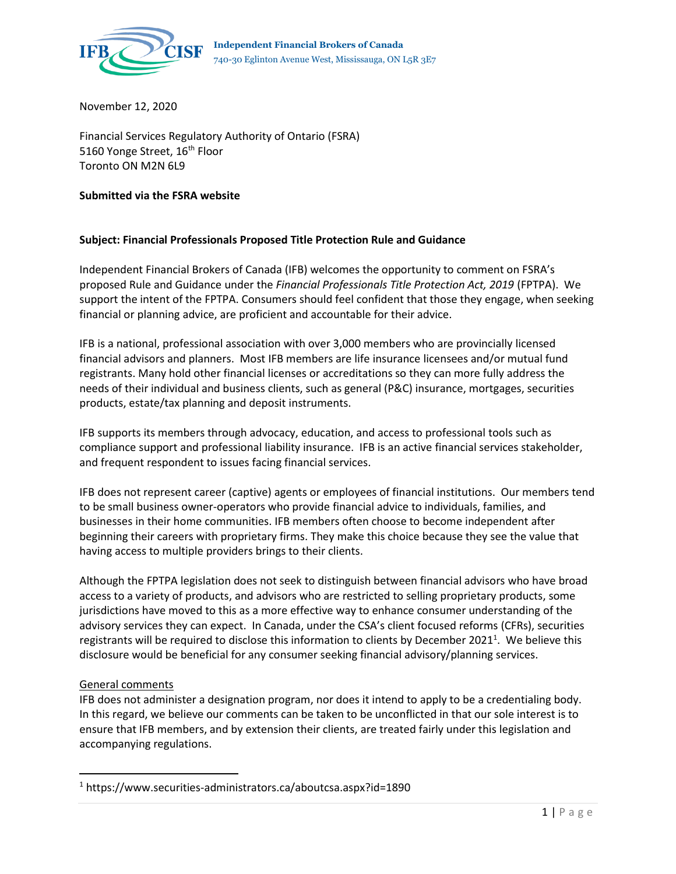

November 12, 2020

Financial Services Regulatory Authority of Ontario (FSRA) 5160 Yonge Street, 16<sup>th</sup> Floor Toronto ON M2N 6L9

## **Submitted via the FSRA website**

## **Subject: Financial Professionals Proposed Title Protection Rule and Guidance**

Independent Financial Brokers of Canada (IFB) welcomes the opportunity to comment on FSRA's proposed Rule and Guidance under the *Financial Professionals Title Protection Act, 2019* (FPTPA). We support the intent of the FPTPA. Consumers should feel confident that those they engage, when seeking financial or planning advice, are proficient and accountable for their advice.

IFB is a national, professional association with over 3,000 members who are provincially licensed financial advisors and planners. Most IFB members are life insurance licensees and/or mutual fund registrants. Many hold other financial licenses or accreditations so they can more fully address the needs of their individual and business clients, such as general (P&C) insurance, mortgages, securities products, estate/tax planning and deposit instruments.

IFB supports its members through advocacy, education, and access to professional tools such as compliance support and professional liability insurance. IFB is an active financial services stakeholder, and frequent respondent to issues facing financial services.

IFB does not represent career (captive) agents or employees of financial institutions. Our members tend to be small business owner-operators who provide financial advice to individuals, families, and businesses in their home communities. IFB members often choose to become independent after beginning their careers with proprietary firms. They make this choice because they see the value that having access to multiple providers brings to their clients.

Although the FPTPA legislation does not seek to distinguish between financial advisors who have broad access to a variety of products, and advisors who are restricted to selling proprietary products, some jurisdictions have moved to this as a more effective way to enhance consumer understanding of the advisory services they can expect. In Canada, under the CSA's client focused reforms (CFRs), securities registrants will be required to disclose this information to clients by December 2021<sup>1</sup>. We believe this disclosure would be beneficial for any consumer seeking financial advisory/planning services.

## General comments

IFB does not administer a designation program, nor does it intend to apply to be a credentialing body. In this regard, we believe our comments can be taken to be unconflicted in that our sole interest is to ensure that IFB members, and by extension their clients, are treated fairly under this legislation and accompanying regulations.

<sup>1</sup> https://www.securities-administrators.ca/aboutcsa.aspx?id=1890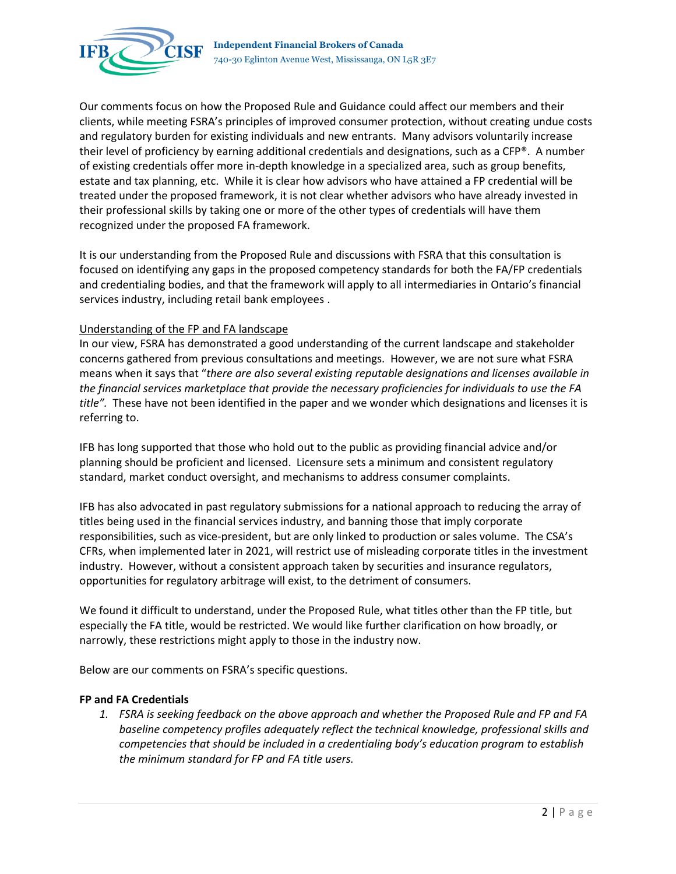

Our comments focus on how the Proposed Rule and Guidance could affect our members and their clients, while meeting FSRA's principles of improved consumer protection, without creating undue costs and regulatory burden for existing individuals and new entrants. Many advisors voluntarily increase their level of proficiency by earning additional credentials and designations, such as a CFP®. A number of existing credentials offer more in-depth knowledge in a specialized area, such as group benefits, estate and tax planning, etc. While it is clear how advisors who have attained a FP credential will be treated under the proposed framework, it is not clear whether advisors who have already invested in their professional skills by taking one or more of the other types of credentials will have them recognized under the proposed FA framework.

It is our understanding from the Proposed Rule and discussions with FSRA that this consultation is focused on identifying any gaps in the proposed competency standards for both the FA/FP credentials and credentialing bodies, and that the framework will apply to all intermediaries in Ontario's financial services industry, including retail bank employees .

## Understanding of the FP and FA landscape

In our view, FSRA has demonstrated a good understanding of the current landscape and stakeholder concerns gathered from previous consultations and meetings. However, we are not sure what FSRA means when it says that "*there are also several existing reputable designations and licenses available in the financial services marketplace that provide the necessary proficiencies for individuals to use the FA title".* These have not been identified in the paper and we wonder which designations and licenses it is referring to.

IFB has long supported that those who hold out to the public as providing financial advice and/or planning should be proficient and licensed. Licensure sets a minimum and consistent regulatory standard, market conduct oversight, and mechanisms to address consumer complaints.

IFB has also advocated in past regulatory submissions for a national approach to reducing the array of titles being used in the financial services industry, and banning those that imply corporate responsibilities, such as vice-president, but are only linked to production or sales volume. The CSA's CFRs, when implemented later in 2021, will restrict use of misleading corporate titles in the investment industry. However, without a consistent approach taken by securities and insurance regulators, opportunities for regulatory arbitrage will exist, to the detriment of consumers.

We found it difficult to understand, under the Proposed Rule, what titles other than the FP title, but especially the FA title, would be restricted. We would like further clarification on how broadly, or narrowly, these restrictions might apply to those in the industry now.

Below are our comments on FSRA's specific questions.

#### **FP and FA Credentials**

*1. FSRA is seeking feedback on the above approach and whether the Proposed Rule and FP and FA baseline competency profiles adequately reflect the technical knowledge, professional skills and competencies that should be included in a credentialing body's education program to establish the minimum standard for FP and FA title users.*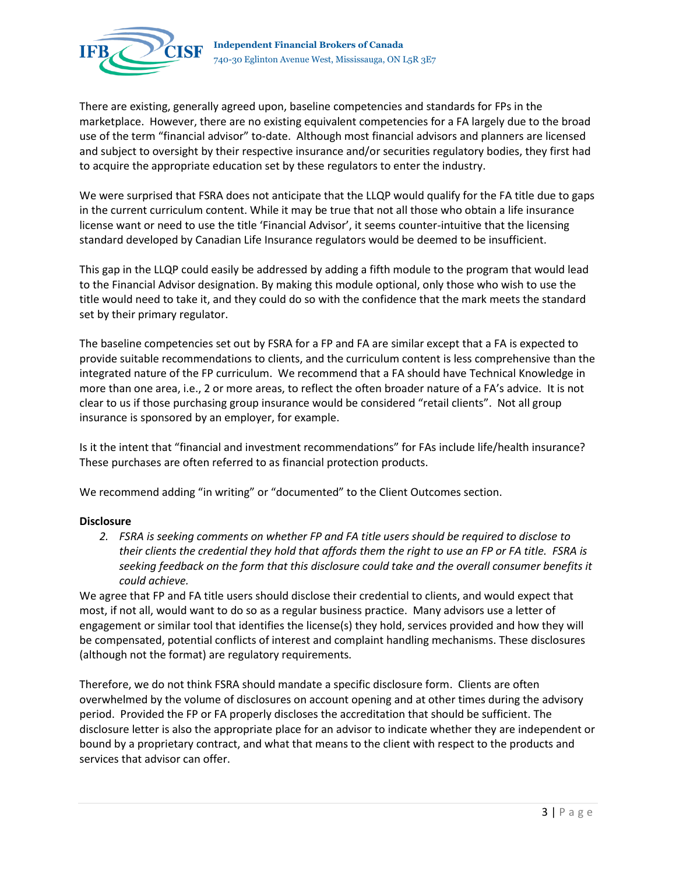

There are existing, generally agreed upon, baseline competencies and standards for FPs in the marketplace. However, there are no existing equivalent competencies for a FA largely due to the broad use of the term "financial advisor" to-date. Although most financial advisors and planners are licensed and subject to oversight by their respective insurance and/or securities regulatory bodies, they first had to acquire the appropriate education set by these regulators to enter the industry.

We were surprised that FSRA does not anticipate that the LLQP would qualify for the FA title due to gaps in the current curriculum content. While it may be true that not all those who obtain a life insurance license want or need to use the title 'Financial Advisor', it seems counter-intuitive that the licensing standard developed by Canadian Life Insurance regulators would be deemed to be insufficient.

This gap in the LLQP could easily be addressed by adding a fifth module to the program that would lead to the Financial Advisor designation. By making this module optional, only those who wish to use the title would need to take it, and they could do so with the confidence that the mark meets the standard set by their primary regulator.

The baseline competencies set out by FSRA for a FP and FA are similar except that a FA is expected to provide suitable recommendations to clients, and the curriculum content is less comprehensive than the integrated nature of the FP curriculum. We recommend that a FA should have Technical Knowledge in more than one area, i.e., 2 or more areas, to reflect the often broader nature of a FA's advice. It is not clear to us if those purchasing group insurance would be considered "retail clients". Not all group insurance is sponsored by an employer, for example.

Is it the intent that "financial and investment recommendations" for FAs include life/health insurance? These purchases are often referred to as financial protection products.

We recommend adding "in writing" or "documented" to the Client Outcomes section.

## **Disclosure**

*2. FSRA is seeking comments on whether FP and FA title users should be required to disclose to their clients the credential they hold that affords them the right to use an FP or FA title. FSRA is seeking feedback on the form that this disclosure could take and the overall consumer benefits it could achieve.*

We agree that FP and FA title users should disclose their credential to clients, and would expect that most, if not all, would want to do so as a regular business practice. Many advisors use a letter of engagement or similar tool that identifies the license(s) they hold, services provided and how they will be compensated, potential conflicts of interest and complaint handling mechanisms. These disclosures (although not the format) are regulatory requirements.

Therefore, we do not think FSRA should mandate a specific disclosure form. Clients are often overwhelmed by the volume of disclosures on account opening and at other times during the advisory period. Provided the FP or FA properly discloses the accreditation that should be sufficient. The disclosure letter is also the appropriate place for an advisor to indicate whether they are independent or bound by a proprietary contract, and what that means to the client with respect to the products and services that advisor can offer.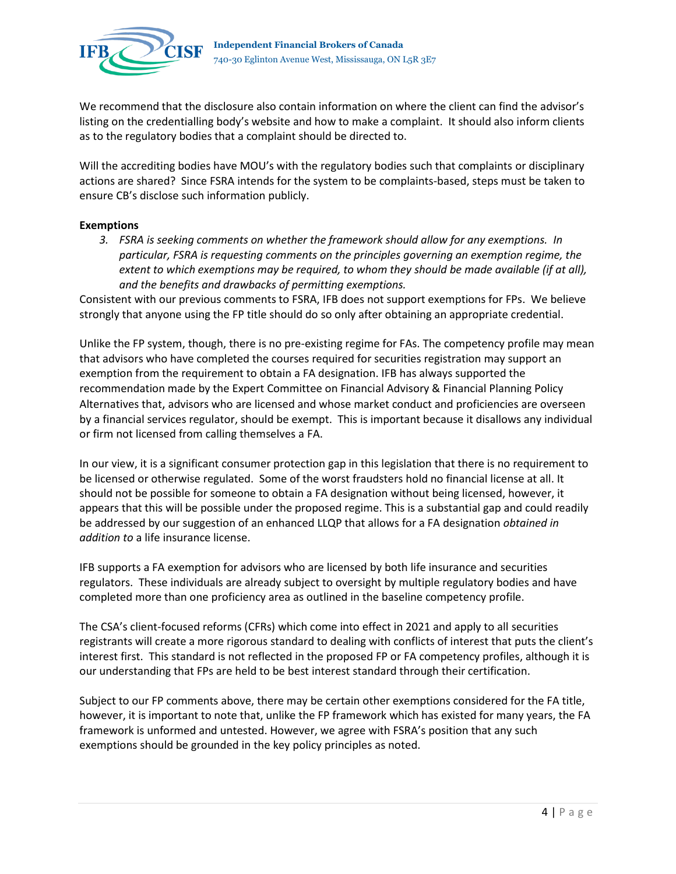

We recommend that the disclosure also contain information on where the client can find the advisor's listing on the credentialling body's website and how to make a complaint. It should also inform clients as to the regulatory bodies that a complaint should be directed to.

Will the accrediting bodies have MOU's with the regulatory bodies such that complaints or disciplinary actions are shared? Since FSRA intends for the system to be complaints-based, steps must be taken to ensure CB's disclose such information publicly.

### **Exemptions**

*3. FSRA is seeking comments on whether the framework should allow for any exemptions. In particular, FSRA is requesting comments on the principles governing an exemption regime, the extent to which exemptions may be required, to whom they should be made available (if at all), and the benefits and drawbacks of permitting exemptions.*

Consistent with our previous comments to FSRA, IFB does not support exemptions for FPs. We believe strongly that anyone using the FP title should do so only after obtaining an appropriate credential.

Unlike the FP system, though, there is no pre-existing regime for FAs. The competency profile may mean that advisors who have completed the courses required for securities registration may support an exemption from the requirement to obtain a FA designation. IFB has always supported the recommendation made by the Expert Committee on Financial Advisory & Financial Planning Policy Alternatives that, advisors who are licensed and whose market conduct and proficiencies are overseen by a financial services regulator, should be exempt. This is important because it disallows any individual or firm not licensed from calling themselves a FA.

In our view, it is a significant consumer protection gap in this legislation that there is no requirement to be licensed or otherwise regulated. Some of the worst fraudsters hold no financial license at all. It should not be possible for someone to obtain a FA designation without being licensed, however, it appears that this will be possible under the proposed regime. This is a substantial gap and could readily be addressed by our suggestion of an enhanced LLQP that allows for a FA designation *obtained in addition to* a life insurance license.

IFB supports a FA exemption for advisors who are licensed by both life insurance and securities regulators. These individuals are already subject to oversight by multiple regulatory bodies and have completed more than one proficiency area as outlined in the baseline competency profile.

The CSA's client-focused reforms (CFRs) which come into effect in 2021 and apply to all securities registrants will create a more rigorous standard to dealing with conflicts of interest that puts the client's interest first. This standard is not reflected in the proposed FP or FA competency profiles, although it is our understanding that FPs are held to be best interest standard through their certification.

Subject to our FP comments above, there may be certain other exemptions considered for the FA title, however, it is important to note that, unlike the FP framework which has existed for many years, the FA framework is unformed and untested. However, we agree with FSRA's position that any such exemptions should be grounded in the key policy principles as noted.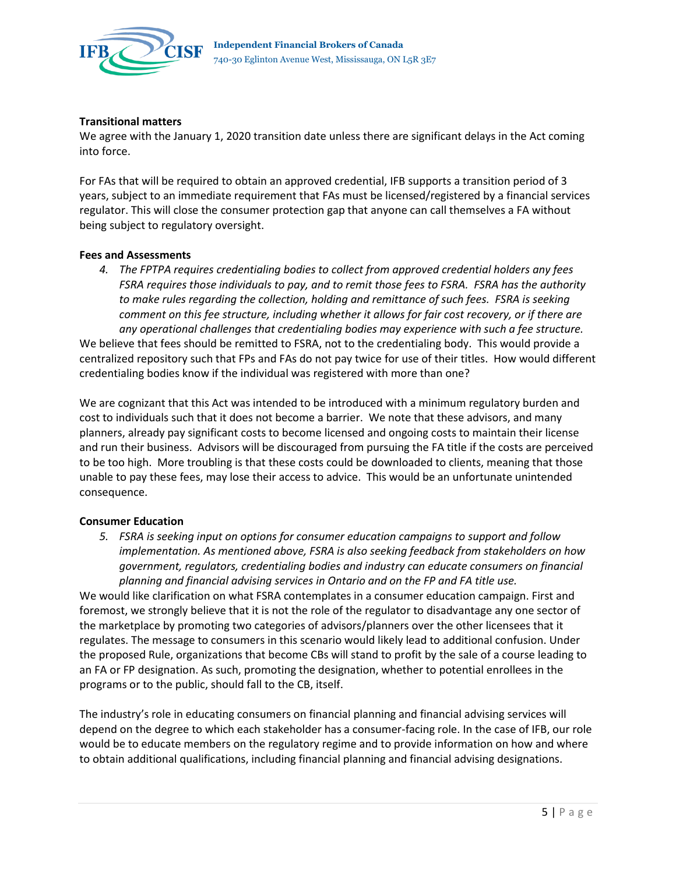

# **Transitional matters**

We agree with the January 1, 2020 transition date unless there are significant delays in the Act coming into force.

For FAs that will be required to obtain an approved credential, IFB supports a transition period of 3 years, subject to an immediate requirement that FAs must be licensed/registered by a financial services regulator. This will close the consumer protection gap that anyone can call themselves a FA without being subject to regulatory oversight.

## **Fees and Assessments**

*4. The FPTPA requires credentialing bodies to collect from approved credential holders any fees FSRA requires those individuals to pay, and to remit those fees to FSRA. FSRA has the authority to make rules regarding the collection, holding and remittance of such fees. FSRA is seeking comment on this fee structure, including whether it allows for fair cost recovery, or if there are any operational challenges that credentialing bodies may experience with such a fee structure.*

We believe that fees should be remitted to FSRA, not to the credentialing body. This would provide a centralized repository such that FPs and FAs do not pay twice for use of their titles. How would different credentialing bodies know if the individual was registered with more than one?

We are cognizant that this Act was intended to be introduced with a minimum regulatory burden and cost to individuals such that it does not become a barrier. We note that these advisors, and many planners, already pay significant costs to become licensed and ongoing costs to maintain their license and run their business. Advisors will be discouraged from pursuing the FA title if the costs are perceived to be too high. More troubling is that these costs could be downloaded to clients, meaning that those unable to pay these fees, may lose their access to advice. This would be an unfortunate unintended consequence.

## **Consumer Education**

*5. FSRA is seeking input on options for consumer education campaigns to support and follow implementation. As mentioned above, FSRA is also seeking feedback from stakeholders on how government, regulators, credentialing bodies and industry can educate consumers on financial planning and financial advising services in Ontario and on the FP and FA title use.*

We would like clarification on what FSRA contemplates in a consumer education campaign. First and foremost, we strongly believe that it is not the role of the regulator to disadvantage any one sector of the marketplace by promoting two categories of advisors/planners over the other licensees that it regulates. The message to consumers in this scenario would likely lead to additional confusion. Under the proposed Rule, organizations that become CBs will stand to profit by the sale of a course leading to an FA or FP designation. As such, promoting the designation, whether to potential enrollees in the programs or to the public, should fall to the CB, itself.

The industry's role in educating consumers on financial planning and financial advising services will depend on the degree to which each stakeholder has a consumer-facing role. In the case of IFB, our role would be to educate members on the regulatory regime and to provide information on how and where to obtain additional qualifications, including financial planning and financial advising designations.